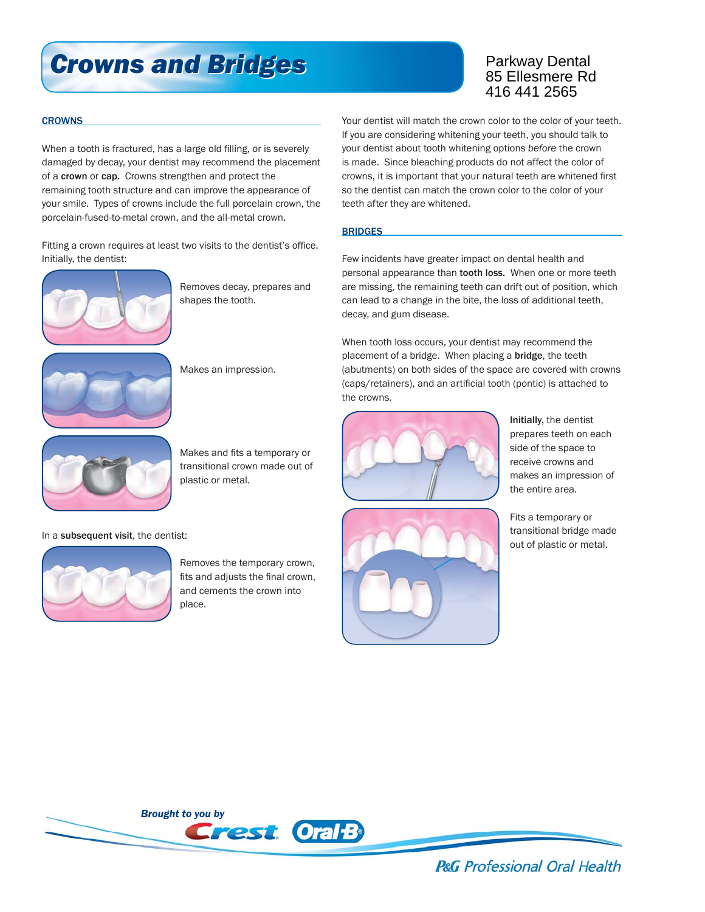# *Crowns and Bridges Crowns and Bridges*

### Parkway Dental 85 Ellesmere Rd 416 441 2565

#### **CROWNS**

When a tooth is fractured, has a large old filling, or is severely damaged by decay, your dentist may recommend the placement of a crown or cap. Crowns strengthen and protect the remaining tooth structure and can improve the appearance of your smile. Types of crowns include the full porcelain crown, the porcelain-fused-to-metal crown, and the all-metal crown.

Fitting a crown requires at least two visits to the dentist's office. Initially, the dentist:



 Removes decay, prepares and shapes the tooth.



Makes an impression.



Makes and fits a temporary or transitional crown made out of plastic or metal.

In a subsequent visit, the dentist:



 Removes the temporary crown, fits and adjusts the final crown, and cements the crown into place.

Your dentist will match the crown color to the color of your teeth. If you are considering whitening your teeth, you should talk to your dentist about tooth whitening options *before* the crown is made. Since bleaching products do not affect the color of crowns, it is important that your natural teeth are whitened first so the dentist can match the crown color to the color of your teeth after they are whitened.

#### **BRIDGES**

Few incidents have greater impact on dental health and personal appearance than tooth loss. When one or more teeth are missing, the remaining teeth can drift out of position, which can lead to a change in the bite, the loss of additional teeth, decay, and gum disease.

When tooth loss occurs, your dentist may recommend the placement of a bridge. When placing a bridge, the teeth (abutments) on both sides of the space are covered with crowns (caps/retainers), and an artificial tooth (pontic) is attached to the crowns.





Initially, the dentist

 Fits a temporary or transitional bridge made out of plastic or metal.



**P&G** Professional Oral Health